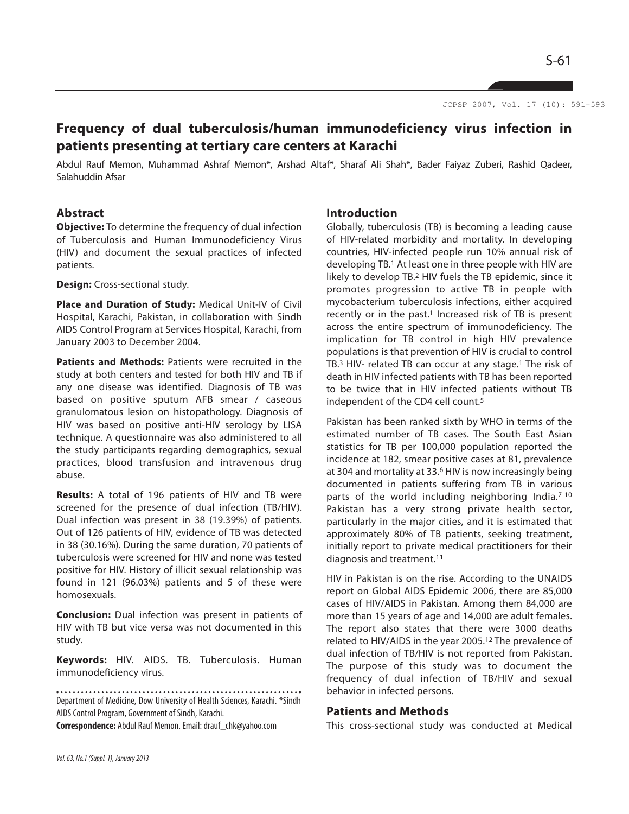S-61

JCPSP 2007, Vol. 17 (10): 591-593

# **Frequency of dual tuberculosis/human immunodeficiency virus infection in patients presenting at tertiary care centers at Karachi**

Abdul Rauf Memon, Muhammad Ashraf Memon\*, Arshad Altaf\*, Sharaf Ali Shah\*, Bader Faiyaz Zuberi, Rashid Qadeer, Salahuddin Afsar

#### **Abstract**

**Objective:** To determine the frequency of dual infection of Tuberculosis and Human Immunodeficiency Virus (HIV) and document the sexual practices of infected patients.

**Design:** Cross-sectional study.

**Place and Duration of Study:** Medical Unit-IV of Civil Hospital, Karachi, Pakistan, in collaboration with Sindh AIDS Control Program at Services Hospital, Karachi, from January 2003 to December 2004.

**Patients and Methods:** Patients were recruited in the study at both centers and tested for both HIV and TB if any one disease was identified. Diagnosis of TB was based on positive sputum AFB smear / caseous granulomatous lesion on histopathology. Diagnosis of HIV was based on positive anti-HIV serology by LISA technique. A questionnaire was also administered to all the study participants regarding demographics, sexual practices, blood transfusion and intravenous drug abuse.

**Results:** A total of 196 patients of HIV and TB were screened for the presence of dual infection (TB/HIV). Dual infection was present in 38 (19.39%) of patients. Out of 126 patients of HIV, evidence of TB was detected in 38 (30.16%). During the same duration, 70 patients of tuberculosis were screened for HIV and none was tested positive for HIV. History of illicit sexual relationship was found in 121 (96.03%) patients and 5 of these were homosexuals.

**Conclusion:** Dual infection was present in patients of HIV with TB but vice versa was not documented in this study.

**Keywords:** HIV. AIDS. TB. Tuberculosis. Human immunodeficiency virus.

Department of Medicine, Dow University of Health Sciences, Karachi. \*Sindh AIDS Control Program, Government of Sindh, Karachi.

**Correspondence:** Abdul Rauf Memon. Email: drauf\_chk@yahoo.com

#### **Introduction**

Globally, tuberculosis (TB) is becoming a leading cause of HIV-related morbidity and mortality. In developing countries, HIV-infected people run 10% annual risk of developing TB.<sup>1</sup> At least one in three people with HIV are likely to develop TB.<sup>2</sup> HIV fuels the TB epidemic, since it promotes progression to active TB in people with mycobacterium tuberculosis infections, either acquired recently or in the past.<sup>1</sup> Increased risk of TB is present across the entire spectrum of immunodeficiency. The implication for TB control in high HIV prevalence populations is that prevention of HIV is crucial to control TB.<sup>3</sup> HIV- related TB can occur at any stage.<sup>1</sup> The risk of death in HIV infected patients with TB has been reported to be twice that in HIV infected patients without TB independent of the CD4 cell count.<sup>5</sup>

Pakistan has been ranked sixth by WHO in terms of the estimated number of TB cases. The South East Asian statistics for TB per 100,000 population reported the incidence at 182, smear positive cases at 81, prevalence at 304 and mortality at 33.<sup>6</sup> HIV is now increasingly being documented in patients suffering from TB in various parts of the world including neighboring India.<sup>7-10</sup> Pakistan has a very strong private health sector, particularly in the major cities, and it is estimated that approximately 80% of TB patients, seeking treatment, initially report to private medical practitioners for their diagnosis and treatment.<sup>11</sup>

HIV in Pakistan is on the rise. According to the UNAIDS report on Global AIDS Epidemic 2006, there are 85,000 cases of HIV/AIDS in Pakistan. Among them 84,000 are more than 15 years of age and 14,000 are adult females. The report also states that there were 3000 deaths related to HIV/AIDS in the year 2005.<sup>12</sup> The prevalence of dual infection of TB/HIV is not reported from Pakistan. The purpose of this study was to document the frequency of dual infection of TB/HIV and sexual behavior in infected persons.

### **Patients and Methods**

This cross-sectional study was conducted at Medical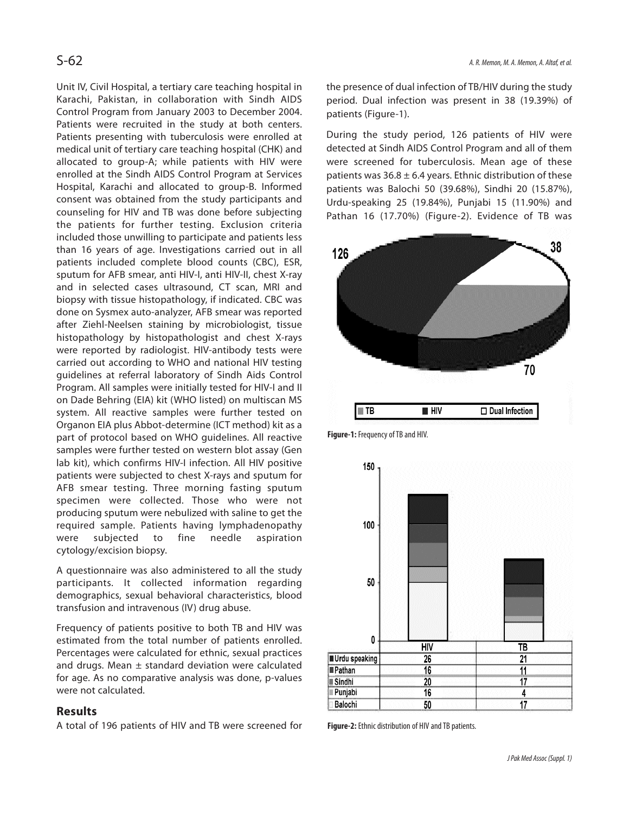Unit IV, Civil Hospital, a tertiary care teaching hospital in Karachi, Pakistan, in collaboration with Sindh AIDS Control Program from January 2003 to December 2004. Patients were recruited in the study at both centers. Patients presenting with tuberculosis were enrolled at medical unit of tertiary care teaching hospital (CHK) and allocated to group-A; while patients with HIV were enrolled at the Sindh AIDS Control Program at Services Hospital, Karachi and allocated to group-B. Informed consent was obtained from the study participants and counseling for HIV and TB was done before subjecting the patients for further testing. Exclusion criteria included those unwilling to participate and patients less than 16 years of age. Investigations carried out in all patients included complete blood counts (CBC), ESR, sputum for AFB smear, anti HIV-I, anti HIV-II, chest X-ray and in selected cases ultrasound, CT scan, MRI and biopsy with tissue histopathology, if indicated. CBC was done on Sysmex auto-analyzer, AFB smear was reported after Ziehl-Neelsen staining by microbiologist, tissue histopathology by histopathologist and chest X-rays were reported by radiologist. HIV-antibody tests were carried out according to WHO and national HIV testing guidelines at referral laboratory of Sindh Aids Control Program. All samples were initially tested for HIV-I and II on Dade Behring (EIA) kit (WHO listed) on multiscan MS system. All reactive samples were further tested on Organon EIA plus Abbot-determine (ICT method) kit as a part of protocol based on WHO guidelines. All reactive samples were further tested on western blot assay (Gen lab kit), which confirms HIV-I infection. All HIV positive patients were subjected to chest X-rays and sputum for AFB smear testing. Three morning fasting sputum specimen were collected. Those who were not producing sputum were nebulized with saline to get the required sample. Patients having lymphadenopathy were subjected to fine needle aspiration cytology/excision biopsy.

A questionnaire was also administered to all the study participants. It collected information regarding demographics, sexual behavioral characteristics, blood transfusion and intravenous (IV) drug abuse.

Frequency of patients positive to both TB and HIV was estimated from the total number of patients enrolled. Percentages were calculated for ethnic, sexual practices and drugs. Mean  $\pm$  standard deviation were calculated for age. As no comparative analysis was done, p-values were not calculated.

# **Results**

A total of 196 patients of HIV and TB were screened for

the presence of dual infection of TB/HIV during the study period. Dual infection was present in 38 (19.39%) of patients (Figure-1).

During the study period, 126 patients of HIV were detected at Sindh AIDS Control Program and all of them were screened for tuberculosis. Mean age of these patients was  $36.8 \pm 6.4$  years. Ethnic distribution of these patients was Balochi 50 (39.68%), Sindhi 20 (15.87%), Urdu-speaking 25 (19.84%), Punjabi 15 (11.90%) and Pathan 16 (17.70%) (Figure-2). Evidence of TB was







**Figure-2:** Ethnic distribution of HIV and TB patients.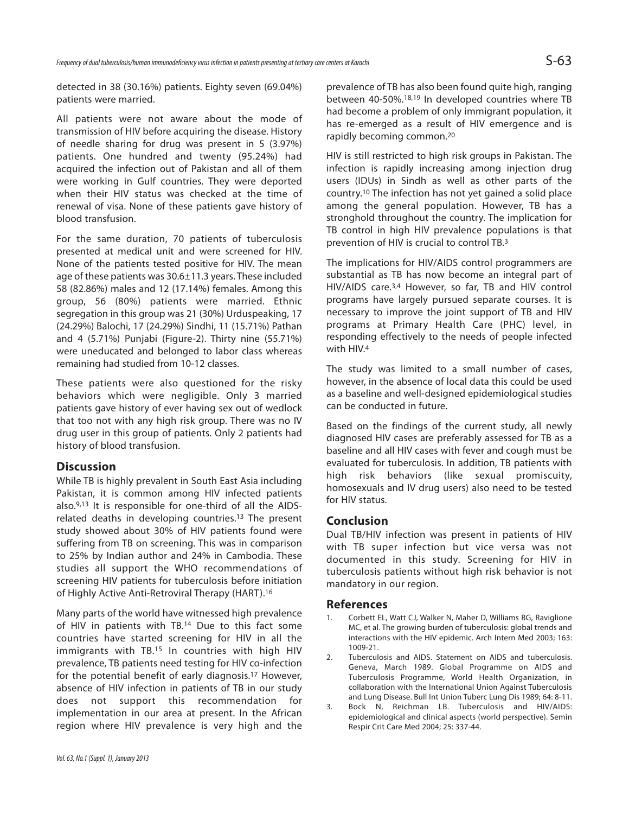detected in 38 (30.16%) patients. Eighty seven (69.04%) patients were married.

All patients were not aware about the mode of transmission of HIV before acquiring the disease. History of needle sharing for drug was present in 5 (3.97%) patients. One hundred and twenty (95.24%) had acquired the infection out of Pakistan and all of them were working in Gulf countries. They were deported when their HIV status was checked at the time of renewal of visa. None of these patients gave history of blood transfusion.

For the same duration, 70 patients of tuberculosis presented at medical unit and were screened for HIV. None of the patients tested positive for HIV. The mean age of these patients was 30.6±11.3 years. These included 58 (82.86%) males and 12 (17.14%) females. Among this group, 56 (80%) patients were married. Ethnic segregation in this group was 21 (30%) Urduspeaking, 17 (24.29%) Balochi, 17 (24.29%) Sindhi, 11 (15.71%) Pathan and 4 (5.71%) Punjabi (Figure-2). Thirty nine (55.71%) were uneducated and belonged to labor class whereas remaining had studied from 10-12 classes.

These patients were also questioned for the risky behaviors which were negligible. Only 3 married patients gave history of ever having sex out of wedlock that too not with any high risk group. There was no IV drug user in this group of patients. Only 2 patients had history of blood transfusion.

## **Discussion**

While TB is highly prevalent in South East Asia including Pakistan, it is common among HIV infected patients also.9,13 It is responsible for one-third of all the AIDSrelated deaths in developing countries.<sup>13</sup> The present study showed about 30% of HIV patients found were suffering from TB on screening. This was in comparison to 25% by Indian author and 24% in Cambodia. These studies all support the WHO recommendations of screening HIV patients for tuberculosis before initiation of Highly Active Anti-Retroviral Therapy (HART).<sup>16</sup>

Many parts of the world have witnessed high prevalence of HIV in patients with TB.<sup>14</sup> Due to this fact some countries have started screening for HIV in all the immigrants with TB.<sup>15</sup> In countries with high HIV prevalence, TB patients need testing for HIV co-infection for the potential benefit of early diagnosis.<sup>17</sup> However, absence of HIV infection in patients of TB in our study does not support this recommendation for implementation in our area at present. In the African region where HIV prevalence is very high and the

prevalence of TB has also been found quite high, ranging between 40-50%.18,19 In developed countries where TB had become a problem of only immigrant population, it has re-emerged as a result of HIV emergence and is rapidly becoming common.<sup>20</sup>

HIV is still restricted to high risk groups in Pakistan. The infection is rapidly increasing among injection drug users (IDUs) in Sindh as well as other parts of the country.<sup>10</sup> The infection has not yet gained a solid place among the general population. However, TB has a stronghold throughout the country. The implication for TB control in high HIV prevalence populations is that prevention of HIV is crucial to control TB.<sup>3</sup>

The implications for HIV/AIDS control programmers are substantial as TB has now become an integral part of HIV/AIDS care.3,4 However, so far, TB and HIV control programs have largely pursued separate courses. It is necessary to improve the joint support of TB and HIV programs at Primary Health Care (PHC) level, in responding effectively to the needs of people infected with HIV.<sup>4</sup>

The study was limited to a small number of cases, however, in the absence of local data this could be used as a baseline and well-designed epidemiological studies can be conducted in future.

Based on the findings of the current study, all newly diagnosed HIV cases are preferably assessed for TB as a baseline and all HIV cases with fever and cough must be evaluated for tuberculosis. In addition, TB patients with high risk behaviors (like sexual promiscuity, homosexuals and IV drug users) also need to be tested for HIV status.

## **Conclusion**

Dual TB/HIV infection was present in patients of HIV with TB super infection but vice versa was not documented in this study. Screening for HIV in tuberculosis patients without high risk behavior is not mandatory in our region.

#### **References**

- 1. Corbett EL, Watt CJ, Walker N, Maher D, Williams BG, Raviglione MC, et al. The growing burden of tuberculosis: global trends and interactions with the HIV epidemic. Arch Intern Med 2003; 163: 1009-21.
- 2. Tuberculosis and AIDS. Statement on AIDS and tuberculosis. Geneva, March 1989. Global Programme on AIDS and Tuberculosis Programme, World Health Organization, in collaboration with the International Union Against Tuberculosis and Lung Disease. Bull Int Union Tuberc Lung Dis 1989; 64: 8-11.
- 3. Bock N, Reichman LB. Tuberculosis and HIV/AIDS: epidemiological and clinical aspects (world perspective). Semin Respir Crit Care Med 2004; 25: 337-44.